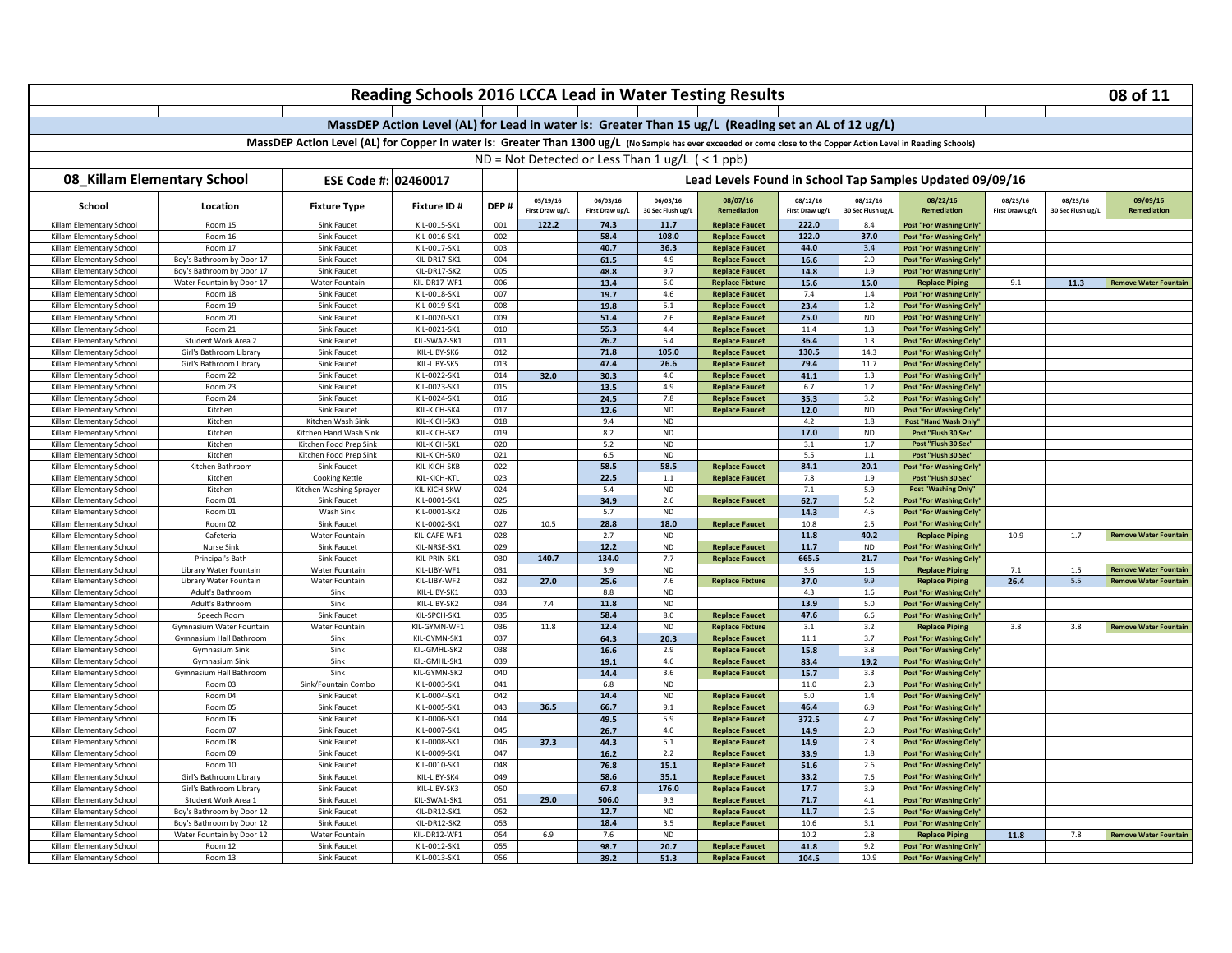|                                                                                                                                                                    | Reading Schools 2016 LCCA Lead in Water Testing Results |                               |                                                                                                     |            |                                                          |                                                      |                               |                                                 |                             |                               |                                                          |                             |                               | 08 of 11                     |
|--------------------------------------------------------------------------------------------------------------------------------------------------------------------|---------------------------------------------------------|-------------------------------|-----------------------------------------------------------------------------------------------------|------------|----------------------------------------------------------|------------------------------------------------------|-------------------------------|-------------------------------------------------|-----------------------------|-------------------------------|----------------------------------------------------------|-----------------------------|-------------------------------|------------------------------|
|                                                                                                                                                                    |                                                         |                               |                                                                                                     |            |                                                          |                                                      |                               |                                                 |                             |                               |                                                          |                             |                               |                              |
|                                                                                                                                                                    |                                                         |                               | MassDEP Action Level (AL) for Lead in water is: Greater Than 15 ug/L (Reading set an AL of 12 ug/L) |            |                                                          |                                                      |                               |                                                 |                             |                               |                                                          |                             |                               |                              |
| MassDEP Action Level (AL) for Copper in water is: Greater Than 1300 ug/L (No Sample has ever exceeded or come close to the Copper Action Level in Reading Schools) |                                                         |                               |                                                                                                     |            |                                                          |                                                      |                               |                                                 |                             |                               |                                                          |                             |                               |                              |
|                                                                                                                                                                    |                                                         |                               |                                                                                                     |            |                                                          | $ND = Not$ Detected or Less Than 1 ug/L $($ < 1 ppb) |                               |                                                 |                             |                               |                                                          |                             |                               |                              |
|                                                                                                                                                                    |                                                         |                               |                                                                                                     |            |                                                          |                                                      |                               |                                                 |                             |                               |                                                          |                             |                               |                              |
| 08_Killam Elementary School<br>ESE Code #: 02460017                                                                                                                |                                                         |                               |                                                                                                     |            | Lead Levels Found in School Tap Samples Updated 09/09/16 |                                                      |                               |                                                 |                             |                               |                                                          |                             |                               |                              |
| School                                                                                                                                                             | Location                                                | <b>Fixture Type</b>           | <b>Fixture ID#</b>                                                                                  | DEP#       | 05/19/16<br>First Draw ug/L                              | 06/03/16<br>First Draw ug/L                          | 06/03/16<br>30 Sec Flush ug/L | 08/07/16<br>Remediation                         | 08/12/16<br>First Draw ug/L | 08/12/16<br>30 Sec Flush ug/L | 08/22/16<br>Remediation                                  | 08/23/16<br>First Draw ug/L | 08/23/16<br>30 Sec Flush ug/L | 09/09/16<br>Remediation      |
| Killam Elementary School                                                                                                                                           | Room 15                                                 | Sink Faucet                   | KIL-0015-SK1                                                                                        | 001        | 122.2                                                    | 74.3                                                 | 11.7                          | <b>Replace Faucet</b>                           | 222.0                       | 84                            | <b>Post "For Washing Only</b>                            |                             |                               |                              |
| Killam Elementary School                                                                                                                                           | Room 16                                                 | Sink Faucet                   | KIL-0016-SK1                                                                                        | 002        |                                                          | 58.4                                                 | 108.0                         | <b>Replace Faucet</b>                           | 122.0                       | 37.0                          | Post "For Washing Only'                                  |                             |                               |                              |
| Killam Elementary School                                                                                                                                           | Room 17                                                 | Sink Faucet                   | KIL-0017-SK1                                                                                        | 003        |                                                          | 40.7                                                 | 36.3                          | <b>Replace Faucet</b>                           | 44.0                        | 3.4                           | Post "For Washing Only"                                  |                             |                               |                              |
| Killam Elementary School                                                                                                                                           | Boy's Bathroom by Door 17                               | Sink Faucet                   | KIL-DR17-SK1                                                                                        | 004        |                                                          | 61.5                                                 | 4.9                           | <b>Replace Faucet</b>                           | 16.6                        | 2.0                           | Post "For Washing Only"                                  |                             |                               |                              |
| Killam Elementary School                                                                                                                                           | Boy's Bathroom by Door 17                               | Sink Faucet                   | KIL-DR17-SK2                                                                                        | 005        |                                                          | 48.8                                                 | 9.7                           | <b>Replace Faucet</b>                           | 14.8                        | 1.9                           | Post "For Washing Only'                                  |                             |                               |                              |
| Killam Elementary School                                                                                                                                           | Water Fountain by Door 17                               | Water Fountain                | KIL-DR17-WF1                                                                                        | 006        |                                                          | 13.4                                                 | 5.0                           | <b>Replace Fixture</b>                          | 15.6                        | 15.0                          | <b>Replace Piping</b>                                    | 9.1                         | 11.3                          | <b>Remove Water Fountain</b> |
| Killam Elementary Schoo<br>Killam Elementary School                                                                                                                | Room 18<br>Room 19                                      | Sink Faucet<br>Sink Faucet    | KIL-0018-SK1<br>KIL-0019-SK1                                                                        | 007<br>008 |                                                          | 19.7<br>19.8                                         | 4.6<br>$5.1\,$                | <b>Replace Faucet</b><br><b>Replace Faucet</b>  | 7.4<br>23.4                 | $1.4\,$<br>$1.2\,$            | Post "For Washing Only                                   |                             |                               |                              |
| Killam Elementary School                                                                                                                                           | Room 20                                                 | Sink Faucet                   | KIL-0020-SK1                                                                                        | 009        |                                                          | 51.4                                                 | 2.6                           | <b>Replace Faucet</b>                           | 25.0                        | <b>ND</b>                     | Post "For Washing Only'<br><b>Post "For Washing Only</b> |                             |                               |                              |
| Killam Flementary School                                                                                                                                           | Room 21                                                 | Sink Faucet                   | KIL-0021-SK1                                                                                        | 010        |                                                          | 55.3                                                 | 4.4                           | <b>Replace Faucet</b>                           | 11.4                        | 1.3                           | <b>Post "For Washing Only</b>                            |                             |                               |                              |
| Killam Elementary School                                                                                                                                           | Student Work Area 2                                     | Sink Faucet                   | KIL-SWA2-SK1                                                                                        | 011        |                                                          | 26.2                                                 | 6.4                           | <b>Replace Faucet</b>                           | 36.4                        | $1.3\,$                       | Post "For Washing Only                                   |                             |                               |                              |
| Killam Elementary School                                                                                                                                           | Girl's Bathroom Library                                 | Sink Faucet                   | KIL-LIBY-SK6                                                                                        | 012        |                                                          | 71.8                                                 | 105.0                         | <b>Replace Faucet</b>                           | 130.5                       | 14.3                          | Post "For Washing Only'                                  |                             |                               |                              |
| Killam Elementary School                                                                                                                                           | Girl's Bathroom Library                                 | <b>Sink Faucet</b>            | KIL-LIBY-SK5                                                                                        | 013        |                                                          | 47.4                                                 | 26.6                          | <b>Replace Faucet</b>                           | 79.4                        | 11.7                          | <b>Post "For Washing Only</b>                            |                             |                               |                              |
| Killam Elementary School                                                                                                                                           | Room 22                                                 | Sink Faucet                   | KIL-0022-SK1                                                                                        | 014        | 32.0                                                     | 30.3                                                 | 4.0                           | <b>Replace Faucet</b>                           | 41.1                        | 1.3                           | <b>Post "For Washing Only</b>                            |                             |                               |                              |
| Killam Elementary School                                                                                                                                           | Room 23                                                 | Sink Faucet                   | KIL-0023-SK1                                                                                        | 015        |                                                          | 13.5                                                 | 4.9                           | <b>Replace Faucet</b>                           | 6.7                         | 1.2                           | <b>Post "For Washing Only</b>                            |                             |                               |                              |
| Killam Elementary School                                                                                                                                           | Room 24                                                 | Sink Faucet                   | KIL-0024-SK1                                                                                        | 016        |                                                          | 24.5                                                 | 7.8                           | <b>Replace Faucet</b>                           | 35.3                        | 3.2                           | Post "For Washing Only                                   |                             |                               |                              |
| Killam Elementary School                                                                                                                                           | Kitchen                                                 | Sink Faucet                   | KIL-KICH-SK4                                                                                        | 017        |                                                          | 12.6                                                 | <b>ND</b>                     | <b>Replace Faucet</b>                           | 12.0                        | <b>ND</b>                     | <b>Post "For Washing Only</b>                            |                             |                               |                              |
| Killam Elementary School                                                                                                                                           | Kitchen                                                 | Kitchen Wash Sink             | KIL-KICH-SK3                                                                                        | 018        |                                                          | 9.4                                                  | <b>ND</b>                     |                                                 | 4.2                         | 1.8                           | Post "Hand Wash Only"                                    |                             |                               |                              |
| Killam Elementary School                                                                                                                                           | Kitchen                                                 | Kitchen Hand Wash Sink        | KIL-KICH-SK2                                                                                        | 019        |                                                          | 8.2                                                  | <b>ND</b>                     |                                                 | 17.0                        | ND                            | Post "Flush 30 Sec"                                      |                             |                               |                              |
| Killam Elementary School                                                                                                                                           | Kitchen                                                 | Kitchen Food Prep Sink        | KIL-KICH-SK1                                                                                        | 020        |                                                          | 5.2                                                  | <b>ND</b>                     |                                                 | 3.1                         | 1.7                           | Post "Flush 30 Sec"                                      |                             |                               |                              |
| Killam Elementary School                                                                                                                                           | Kitchen                                                 | Kitchen Food Prep Sink        | KIL-KICH-SKO                                                                                        | 021        |                                                          | 6.5                                                  | <b>ND</b><br>58.5             |                                                 | 5.5                         | 1.1                           | Post "Flush 30 Sec'                                      |                             |                               |                              |
| Killam Elementary School<br>Killam Elementary School                                                                                                               | Kitchen Bathroom<br>Kitchen                             | Sink Faucet<br>Cooking Kettle | KIL-KICH-SKB<br>KIL-KICH-KTL                                                                        | 022<br>023 |                                                          | 58.5<br>22.5                                         | $1.1$                         | <b>Replace Faucet</b><br><b>Replace Faucet</b>  | 84.1<br>7.8                 | 20.1<br>1.9                   | ost "For Washing Only<br>Post "Flush 30 Sec"             |                             |                               |                              |
| Killam Elementary School                                                                                                                                           | Kitchen                                                 | Kitchen Washing Sprayer       | KIL-KICH-SKW                                                                                        | 024        |                                                          | 5.4                                                  | <b>ND</b>                     |                                                 | 7.1                         | 5.9                           | Post "Washing Only'                                      |                             |                               |                              |
| Killam Elementary School                                                                                                                                           | Room 01                                                 | Sink Faucet                   | KIL-0001-SK1                                                                                        | 025        |                                                          | 34.9                                                 | 2.6                           | <b>Replace Faucet</b>                           | 62.7                        | $5.2$                         | Post "For Washing Only                                   |                             |                               |                              |
| Killam Elementary School                                                                                                                                           | Room 01                                                 | Wash Sink                     | KIL-0001-SK2                                                                                        | 026        |                                                          | 5.7                                                  | <b>ND</b>                     |                                                 | 14.3                        | 4.5                           | <b>Post "For Washing Only</b>                            |                             |                               |                              |
| Killam Elementary School                                                                                                                                           | Room 02                                                 | Sink Faucet                   | KIL-0002-SK1                                                                                        | 027        | 10.5                                                     | 28.8                                                 | 18.0                          | <b>Replace Faucet</b>                           | 10.8                        | 2.5                           | <b>Post "For Washing Only</b>                            |                             |                               |                              |
| Killam Elementary School                                                                                                                                           | Cafeteria                                               | Water Fountair                | KIL-CAFE-WF1                                                                                        | 028        |                                                          | 2.7                                                  | <b>ND</b>                     |                                                 | 11.8                        | 40.2                          | <b>Replace Piping</b>                                    | 10.9                        | 1.7                           | <b>Remove Water Fountain</b> |
| Killam Elementary School                                                                                                                                           | <b>Nurse Sink</b>                                       | Sink Faucet                   | KIL-NRSE-SK1                                                                                        | 029        |                                                          | 12.2                                                 | <b>ND</b>                     | <b>Replace Faucet</b>                           | 11.7                        | <b>ND</b>                     | Post "For Washing Only                                   |                             |                               |                              |
| Killam Elementary School                                                                                                                                           | Principal's Bath                                        | Sink Faucet                   | KIL-PRIN-SK1                                                                                        | 030        | 140.7                                                    | 134.0                                                | 7.7                           | <b>Replace Faucet</b>                           | 665.5                       | 21.7                          | Post "For Washing Only'                                  |                             |                               |                              |
| Killam Elementary School                                                                                                                                           | Library Water Fountain                                  | Water Fountain                | KIL-LIBY-WF1                                                                                        | 031        |                                                          | 3.9                                                  | <b>ND</b>                     |                                                 | 3.6                         | 1.6                           | <b>Replace Piping</b>                                    | 7.1                         | 1.5                           | <b>Remove Water Fountain</b> |
| Killam Elementary School                                                                                                                                           | Library Water Fountain                                  | Water Fountain                | KIL-LIBY-WF2                                                                                        | 032        | 27.0                                                     | 25.6                                                 | 7.6                           | <b>Replace Fixture</b>                          | 37.0                        | 9.9                           | <b>Replace Piping</b>                                    | 26.4                        | 5.5                           | <b>Remove Water Fountain</b> |
| Killam Elementary School                                                                                                                                           | Adult's Bathroom                                        | Sink                          | KIL-LIBY-SK1                                                                                        | 033        |                                                          | 8.8                                                  | <b>ND</b>                     |                                                 | 4.3                         | 1.6                           | <b>Post "For Washing Only</b>                            |                             |                               |                              |
| Killam Elementary School                                                                                                                                           | Adult's Bathroom                                        | Sink                          | KIL-LIBY-SK2                                                                                        | 034        | 7.4                                                      | 11.8                                                 | $\sf ND$                      |                                                 | 13.9                        | 5.0                           | Post "For Washing Only                                   |                             |                               |                              |
| Killam Elementary School                                                                                                                                           | Speech Room                                             | <b>Sink Faucet</b>            | KIL-SPCH-SK1                                                                                        | 035        |                                                          | 58.4                                                 | 8.0                           | <b>Replace Faucet</b>                           | 47.6                        | 6.6                           | Post "For Washing Only'                                  |                             |                               |                              |
| Killam Elementary School<br>Killam Elementary School                                                                                                               | Gymnasium Water Fountain<br>Gymnasium Hall Bathroom     | Water Fountain<br>Sink        | KIL-GYMN-WF1<br>KIL-GYMN-SK1                                                                        | 036<br>037 | 11.8                                                     | 12.4<br>64.3                                         | ND<br>20.3                    | <b>Replace Fixture</b><br><b>Replace Faucet</b> | 3.1<br>11.1                 | 3.2<br>3.7                    | <b>Replace Piping</b><br><b>Post "For Washing Only'</b>  | 3.8                         | 3.8                           | <b>Remove Water Fountain</b> |
| Killam Elementary School                                                                                                                                           | Gymnasium Sink                                          | Sink                          | KIL-GMHL-SK2                                                                                        | 038        |                                                          | 16.6                                                 | 2.9                           | <b>Replace Faucet</b>                           | 15.8                        | 3.8                           | <b>Post "For Washing Only</b>                            |                             |                               |                              |
| Killam Elementary School                                                                                                                                           | Gymnasium Sink                                          | Sink                          | KIL-GMHL-SK1                                                                                        | 039        |                                                          | 19.1                                                 | 4.6                           | <b>Replace Faucet</b>                           | 83.4                        | 19.2                          | Post "For Washing Only"                                  |                             |                               |                              |
| Killam Elementary School                                                                                                                                           | Gymnasium Hall Bathroom                                 | Sink                          | KIL-GYMN-SK2                                                                                        | 040        |                                                          | 14.4                                                 | 3.6                           | <b>Replace Faucet</b>                           | 15.7                        | 3.3                           | <b>Post "For Washing Only</b>                            |                             |                               |                              |
| Killam Elementary School                                                                                                                                           | Room 03                                                 | Sink/Fountain Combo           | KIL-0003-SK1                                                                                        | 041        |                                                          | 6.8                                                  | <b>ND</b>                     |                                                 | 11.0                        | 2.3                           | <b>Post "For Washing Only</b>                            |                             |                               |                              |
| Killam Elementary School                                                                                                                                           | Room 04                                                 | Sink Faucet                   | KIL-0004-SK1                                                                                        | 042        |                                                          | 14.4                                                 | <b>ND</b>                     | <b>Replace Faucet</b>                           | 5.0                         | $1.4\,$                       | Post "For Washing Only'                                  |                             |                               |                              |
| Killam Elementary School                                                                                                                                           | Room 05                                                 | Sink Faucet                   | KIL-0005-SK1                                                                                        | 043        | 36.5                                                     | 66.7                                                 | 9.1                           | <b>Replace Faucet</b>                           | 46.4                        | 6.9                           | <b>Post "For Washing Only</b>                            |                             |                               |                              |
| Killam Elementary School                                                                                                                                           | Room 06                                                 | Sink Faucet                   | KIL-0006-SK1                                                                                        | 044        |                                                          | 49.5                                                 | 5.9                           | <b>Replace Faucet</b>                           | 372.5                       | 4.7                           | <b>Post "For Washing Only</b>                            |                             |                               |                              |
| Killam Elementary School                                                                                                                                           | Room 07                                                 | Sink Faucet                   | KIL-0007-SK1                                                                                        | 045        |                                                          | 26.7                                                 | 4.0                           | <b>Replace Faucet</b>                           | 14.9                        | 2.0                           | Post "For Washing Only"                                  |                             |                               |                              |
| Killam Elementary School                                                                                                                                           | Room 08                                                 | Sink Faucet                   | KIL-0008-SK1                                                                                        | 046        | 37.3                                                     | 44.3                                                 | $5.1\,$                       | <b>Replace Faucet</b>                           | 14.9                        | 2.3                           | Post "For Washing Only'                                  |                             |                               |                              |
| Killam Elementary School                                                                                                                                           | Room 09                                                 | Sink Faucet                   | KIL-0009-SK1                                                                                        | 047        |                                                          | 16.2                                                 | 2.2                           | <b>Replace Faucet</b>                           | 33.9                        | 1.8                           | Post "For Washing Only'                                  |                             |                               |                              |
| Killam Elementary School                                                                                                                                           | Room 10                                                 | Sink Faucet                   | KIL-0010-SK1                                                                                        | 048        |                                                          | 76.8                                                 | 15.1                          | <b>Replace Faucet</b>                           | 51.6                        | 2.6                           | <b>Post "For Washing Only</b>                            |                             |                               |                              |
| Killam Elementary School                                                                                                                                           | Girl's Bathroom Library                                 | Sink Faucet                   | KIL-LIBY-SK4                                                                                        | 049        |                                                          | 58.6                                                 | 35.1                          | <b>Replace Faucet</b>                           | 33.2                        | 7.6                           | Post "For Washing Only                                   |                             |                               |                              |
| Killam Flementary School                                                                                                                                           | Girl's Bathroom Library                                 | Sink Faucet                   | KIL-LIBY-SK3                                                                                        | 050        |                                                          | 67.8                                                 | 176.0                         | <b>Replace Faucet</b>                           | 17.7                        | 3.9                           | Post "For Washing Only"                                  |                             |                               |                              |
| Killam Elementary School                                                                                                                                           | Student Work Area 1                                     | Sink Faucet                   | KIL-SWA1-SK1                                                                                        | 051        | 29.0                                                     | 506.0                                                | 9.3                           | <b>Replace Faucet</b>                           | 71.7                        | 4.1                           | Post "For Washing Only'                                  |                             |                               |                              |
| Killam Elementary School                                                                                                                                           | Boy's Bathroom by Door 12                               | <b>Sink Faucet</b>            | KIL-DR12-SK1                                                                                        | 052        |                                                          | 12.7                                                 | <b>ND</b>                     | <b>Replace Faucet</b>                           | 11.7                        | 2.6                           | Post "For Washing Only"                                  |                             |                               |                              |
| Killam Elementary Schoo                                                                                                                                            | Boy's Bathroom by Door 12                               | Sink Faucet                   | KIL-DR12-SK2                                                                                        | 053        |                                                          | 18.4                                                 | 3.5                           | <b>Replace Faucet</b>                           | 10.6                        | 3.1                           | <b>Post "For Washing Only</b>                            |                             |                               |                              |
| Killam Elementary School<br>Killam Flementary School                                                                                                               | Water Fountain by Door 12<br>Room 12                    | Water Fountain<br>Sink Faucet | KIL-DR12-WF1<br>KIL-0012-SK1                                                                        | 054<br>055 | 6.9                                                      | 7.6<br>98.7                                          | <b>ND</b><br>20.7             | <b>Replace Faucet</b>                           | 10.2<br>41.8                | 2.8<br>9.2                    | <b>Replace Piping</b><br>Post "For Washing Only'         | 11.8                        | 7.8                           | <b>Remove Water Fountain</b> |
| Killam Elementary School                                                                                                                                           | Room 13                                                 | Sink Faucet                   | KIL-0013-SK1                                                                                        | 056        |                                                          | 39.2                                                 | 51.3                          | <b>Replace Faucet</b>                           | 104.5                       | 10.9                          | Post "For Washing Only"                                  |                             |                               |                              |
|                                                                                                                                                                    |                                                         |                               |                                                                                                     |            |                                                          |                                                      |                               |                                                 |                             |                               |                                                          |                             |                               |                              |